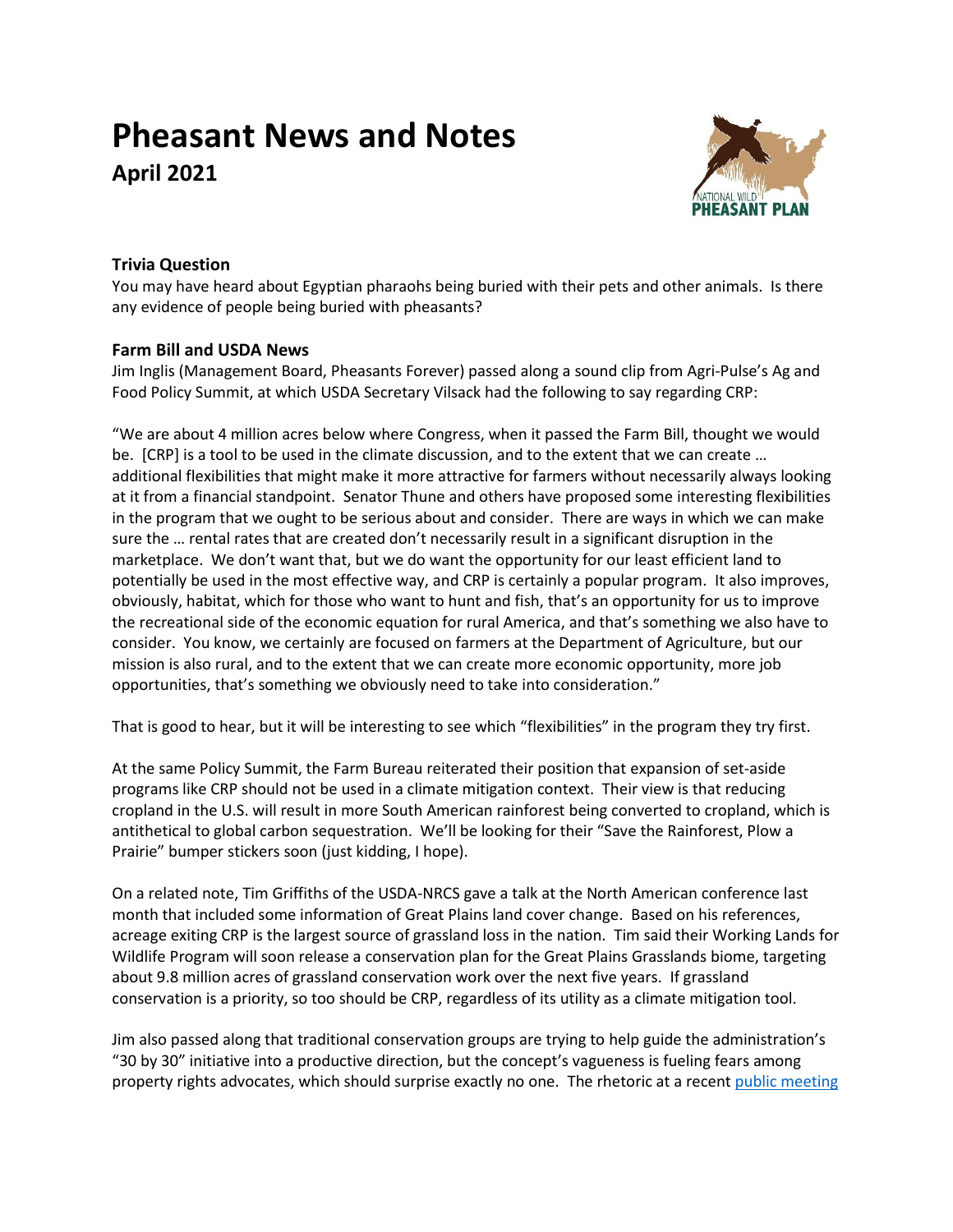# **Pheasant News and Notes April 2021**



# **Trivia Question**

You may have heard about Egyptian pharaohs being buried with their pets and other animals. Is there any evidence of people being buried with pheasants?

# **Farm Bill and USDA News**

Jim Inglis (Management Board, Pheasants Forever) passed along a sound clip from Agri-Pulse's Ag and Food Policy Summit, at which USDA Secretary Vilsack had the following to say regarding CRP:

"We are about 4 million acres below where Congress, when it passed the Farm Bill, thought we would be. [CRP] is a tool to be used in the climate discussion, and to the extent that we can create … additional flexibilities that might make it more attractive for farmers without necessarily always looking at it from a financial standpoint. Senator Thune and others have proposed some interesting flexibilities in the program that we ought to be serious about and consider. There are ways in which we can make sure the … rental rates that are created don't necessarily result in a significant disruption in the marketplace. We don't want that, but we do want the opportunity for our least efficient land to potentially be used in the most effective way, and CRP is certainly a popular program. It also improves, obviously, habitat, which for those who want to hunt and fish, that's an opportunity for us to improve the recreational side of the economic equation for rural America, and that's something we also have to consider. You know, we certainly are focused on farmers at the Department of Agriculture, but our mission is also rural, and to the extent that we can create more economic opportunity, more job opportunities, that's something we obviously need to take into consideration."

That is good to hear, but it will be interesting to see which "flexibilities" in the program they try first.

At the same Policy Summit, the Farm Bureau reiterated their position that expansion of set-aside programs like CRP should not be used in a climate mitigation context. Their view is that reducing cropland in the U.S. will result in more South American rainforest being converted to cropland, which is antithetical to global carbon sequestration. We'll be looking for their "Save the Rainforest, Plow a Prairie" bumper stickers soon (just kidding, I hope).

On a related note, Tim Griffiths of the USDA-NRCS gave a talk at the North American conference last month that included some information of Great Plains land cover change. Based on his references, acreage exiting CRP is the largest source of grassland loss in the nation. Tim said their Working Lands for Wildlife Program will soon release a conservation plan for the Great Plains Grasslands biome, targeting about 9.8 million acres of grassland conservation work over the next five years. If grassland conservation is a priority, so too should be CRP, regardless of its utility as a climate mitigation tool.

Jim also passed along that traditional conservation groups are trying to help guide the administration's "30 by 30" initiative into a productive direction, but the concept's vagueness is fueling fears among property rights advocates, which should surprise exactly no one. The rhetoric at a recent public meeting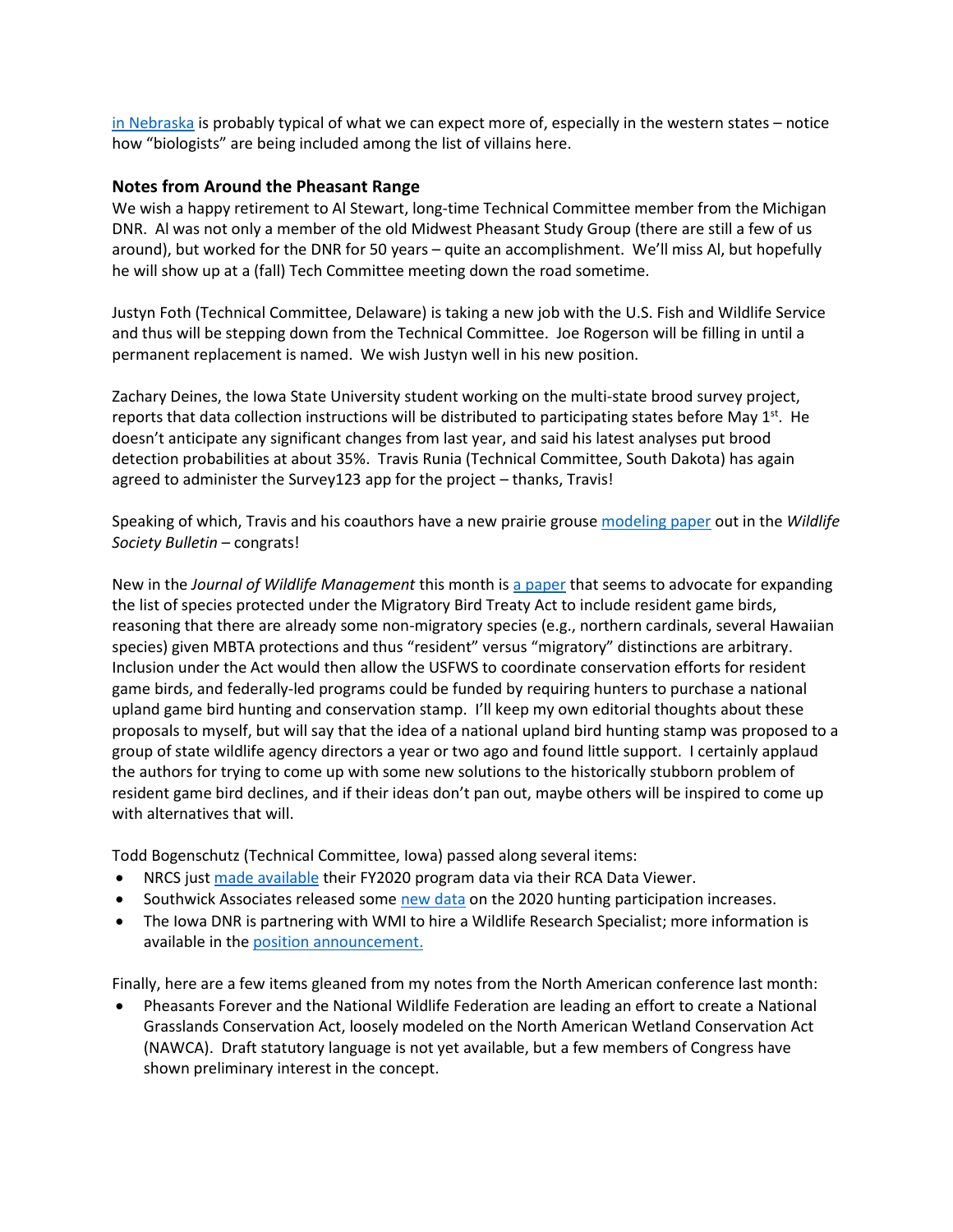[in Nebraska](https://www.thefencepost.com/news/30-x-30-speaker-draws-large-crowd-in-valentine/) is probably typical of what we can expect more of, especially in the western states – notice how "biologists" are being included among the list of villains here.

### **Notes from Around the Pheasant Range**

We wish a happy retirement to Al Stewart, long-time Technical Committee member from the Michigan DNR. Al was not only a member of the old Midwest Pheasant Study Group (there are still a few of us around), but worked for the DNR for 50 years – quite an accomplishment. We'll miss Al, but hopefully he will show up at a (fall) Tech Committee meeting down the road sometime.

Justyn Foth (Technical Committee, Delaware) is taking a new job with the U.S. Fish and Wildlife Service and thus will be stepping down from the Technical Committee. Joe Rogerson will be filling in until a permanent replacement is named. We wish Justyn well in his new position.

Zachary Deines, the Iowa State University student working on the multi-state brood survey project, reports that data collection instructions will be distributed to participating states before May 1<sup>st</sup>. He doesn't anticipate any significant changes from last year, and said his latest analyses put brood detection probabilities at about 35%. Travis Runia (Technical Committee, South Dakota) has again agreed to administer the Survey123 app for the project – thanks, Travis!

Speaking of which, Travis and his coauthors have a new prairie grous[e modeling paper](https://doi.org/10.1002/wsb.1164) out in the *Wildlife Society Bulletin* – congrats!

New in the *Journal of Wildlife Management* this month i[s a paper](https://doi.org/10.1002/jwmg.22032) that seems to advocate for expanding the list of species protected under the Migratory Bird Treaty Act to include resident game birds, reasoning that there are already some non-migratory species (e.g., northern cardinals, several Hawaiian species) given MBTA protections and thus "resident" versus "migratory" distinctions are arbitrary. Inclusion under the Act would then allow the USFWS to coordinate conservation efforts for resident game birds, and federally-led programs could be funded by requiring hunters to purchase a national upland game bird hunting and conservation stamp. I'll keep my own editorial thoughts about these proposals to myself, but will say that the idea of a national upland bird hunting stamp was proposed to a group of state wildlife agency directors a year or two ago and found little support. I certainly applaud the authors for trying to come up with some new solutions to the historically stubborn problem of resident game bird declines, and if their ideas don't pan out, maybe others will be inspired to come up with alternatives that will.

Todd Bogenschutz (Technical Committee, Iowa) passed along several items:

- NRCS jus[t made available](https://content.govdelivery.com/accounts/USDAFARMERS/bulletins/2ca3763) their FY2020 program data via their RCA Data Viewer.
- Southwick Associates released som[e new data](https://www.southwickassociates.com/who-drove-2020s-surges/) on the 2020 hunting participation increases.
- The Iowa DNR is partnering with WMI to hire a Wildlife Research Specialist; more information is available in th[e position announcement.](https://wildlifemanagement.institute/opportunities/employment)

Finally, here are a few items gleaned from my notes from the North American conference last month:

• Pheasants Forever and the National Wildlife Federation are leading an effort to create a National Grasslands Conservation Act, loosely modeled on the North American Wetland Conservation Act (NAWCA). Draft statutory language is not yet available, but a few members of Congress have shown preliminary interest in the concept.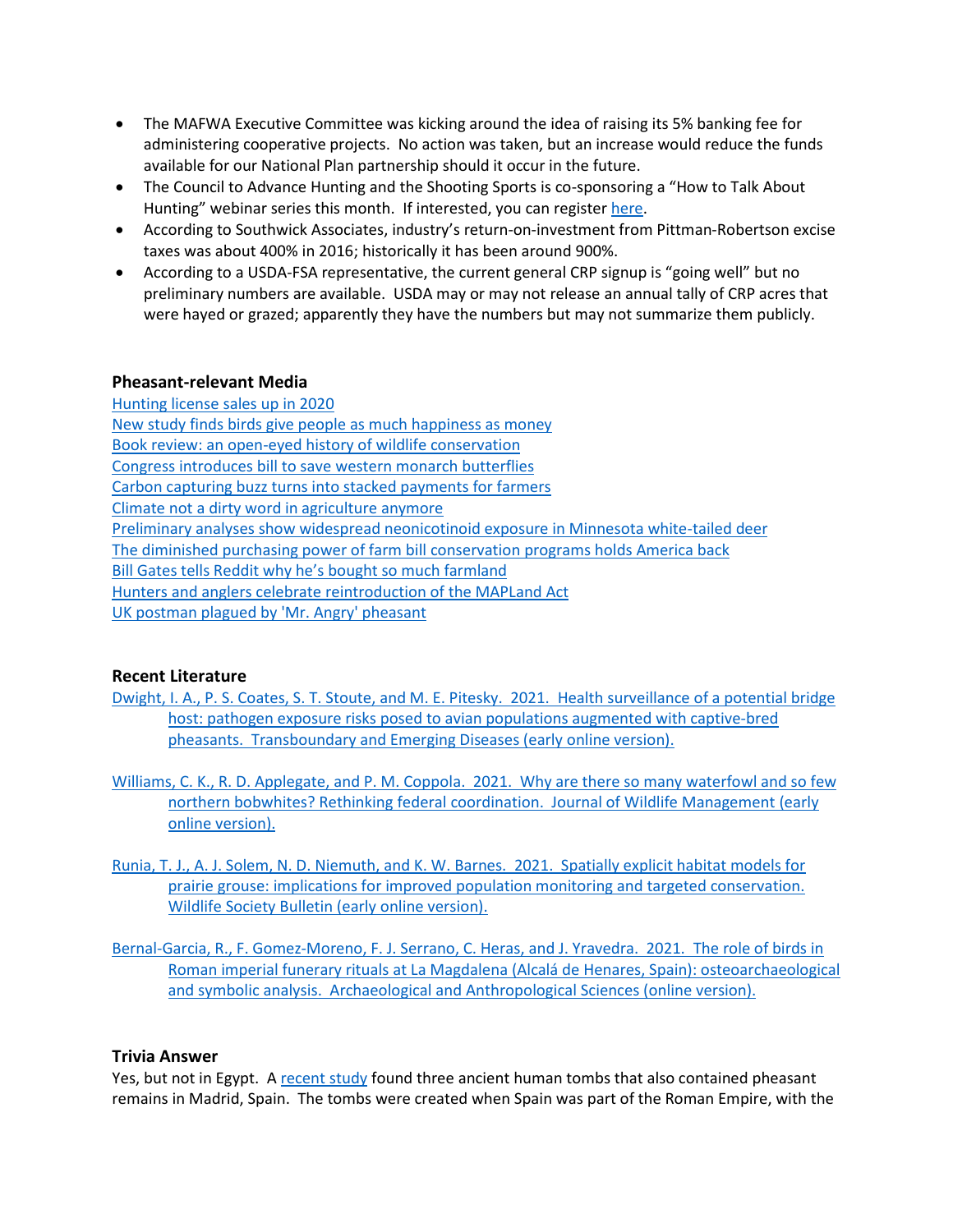- The MAFWA Executive Committee was kicking around the idea of raising its 5% banking fee for administering cooperative projects. No action was taken, but an increase would reduce the funds available for our National Plan partnership should it occur in the future.
- The Council to Advance Hunting and the Shooting Sports is co-sponsoring a "How to Talk About Hunting" webinar series this month. If interested, you can registe[r here.](https://zoom.us/webinar/register/WN_Awc9sImGSbe-Z44tDGu7Ig)
- According to Southwick Associates, industry's return-on-investment from Pittman-Robertson excise taxes was about 400% in 2016; historically it has been around 900%.
- According to a USDA-FSA representative, the current general CRP signup is "going well" but no preliminary numbers are available. USDA may or may not release an annual tally of CRP acres that were hayed or grazed; apparently they have the numbers but may not summarize them publicly.

#### **Pheasant-relevant Media**

[Hunting license sales up in 2020](https://cahss.org/covid-19-and-hunting/?utm_source=Symposium+PR+List&utm_campaign=39c9d13306-EMAIL_CAMPAIGN_2018_09_04_03_26_COPY_01&utm_medium=email&utm_term=0_4be641e1eb-39c9d13306-189250727) [New study finds birds give people as much happiness as money](https://thehill.com/changing-america/well-being/mental-health/544722-new-study-finds-birds-give-people-as-much-happiness) [Book review: an open-eyed history of wildlife conservation](https://undark.org/2021/03/26/book-review-beloved-beasts/) [Congress introduces bill to save western monarch butterflies](https://biologicaldiversity.org/w/news/press-releases/congress-introduces-bill-to-save-western-monarch-butterflies-2021-03-17/) [Carbon capturing buzz turns into stacked payments for farmers](https://www.agriculture.com/news/business/carbon-capturing-buzz-turns-into-stacked-payments-for-farmers) [Climate not a dirty word in agriculture anymore](https://www.stormlake.com/articles/climate-not-a-dirty-word-in-agriculture-anymore/) Preliminary analyses [show widespread neonicotinoid exposure in Minnesota white-tailed deer](https://www.dnr.state.mn.us/news/2021/03/01/preliminary-results-pesticide-study-show-widespread-neonicotinoid-exposure-minnesota-white-tailed-deer) [The diminished purchasing power of farm bill conservation programs holds America back](https://www.agri-pulse.com/articles/15512-opinion-the-diminished-purchasing-power-of-farm-bill-conservation-programs-holds-america-back?emci=a667292e-c388-eb11-85aa-00155d43c992&emdi=e5242019-f688-eb11-85aa-00155d43c992&ceid=1730541) [Bill Gates tells Reddit why he's bought so much farmland](https://agfundernews.com/bill-gates-tells-reddit-why-hes-acquired-so-much-farmland.html) [Hunters and anglers celebrate reintroduction of the MAPLand Act](https://www.trcp.org/2021/03/23/hunters-anglers-celebrate-reintroduction-mapland-act/?emci=b252fc75-3d8e-eb11-85aa-00155d43c992&emdi=bea491ba-6c8e-eb11-85aa-00155d43c992&ceid=1730541) [UK postman plagued by 'Mr.](https://www.bbc.com/news/av/uk-england-norfolk-56530133) Angry' pheasant

## **Recent Literature**

- [Dwight, I. A., P. S. Coates, S. T. Stoute, and M. E. Pitesky. 2021. Health surveillance of a potential bridge](https://doi.org/10.1111/tbed.14068)  [host: pathogen exposure risks posed to avian populations augmented with captive‐bred](https://doi.org/10.1111/tbed.14068)  [pheasants. Transboundary and Emerging Diseases \(early online version\).](https://doi.org/10.1111/tbed.14068)
- [Williams, C. K., R. D. Applegate, and P. M. Coppola. 2021. Why are there so many waterfowl and so few](https://doi.org/10.1002/jwmg.22032)  [northern bobwhites? Rethinking federal coordination. Journal of Wildlife Management \(early](https://doi.org/10.1002/jwmg.22032)  [online version\).](https://doi.org/10.1002/jwmg.22032)
- [Runia, T. J., A. J. Solem, N. D. Niemuth, and K. W. Barnes. 2021. Spatially explicit habitat models for](https://doi.org/10.1002/wsb.1164)  [prairie grouse: implications for improved population monitoring and targeted conservation.](https://doi.org/10.1002/wsb.1164)  [Wildlife Society Bulletin \(early online version\).](https://doi.org/10.1002/wsb.1164)
- [Bernal-Garcia, R., F. Gomez-Moreno, F. J. Serrano, C. Heras, and J. Yravedra. 2021. The role of birds in](https://doi.org/10.1007/s12520-021-01317-0)  [Roman imperial funerary rituals at La Magdalena \(Alcalá de Henares, Spain\): osteoarchaeological](https://doi.org/10.1007/s12520-021-01317-0)  [and symbolic analysis. Archaeological and Anthropological Sciences \(online version\).](https://doi.org/10.1007/s12520-021-01317-0)

#### **Trivia Answer**

Yes, but not in Egypt. A [recent study](https://link.springer.com/article/10.1007/s12520-021-01317-0) found three ancient human tombs that also contained pheasant remains in Madrid, Spain. The tombs were created when Spain was part of the Roman Empire, with the